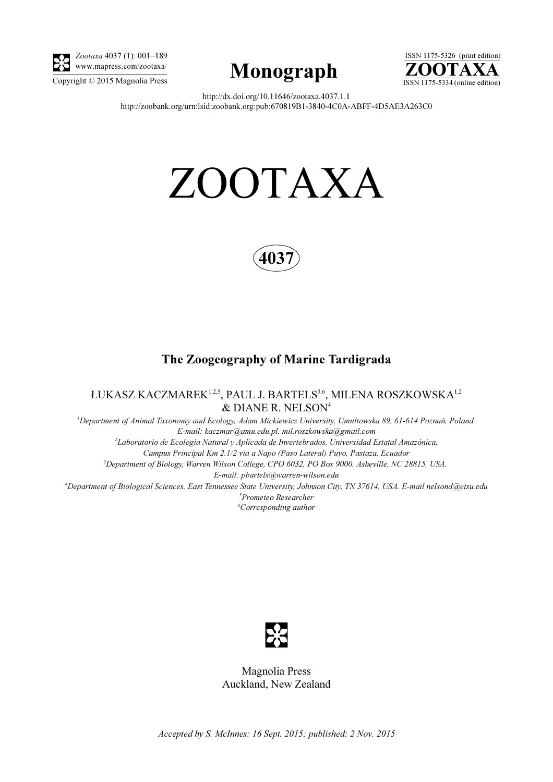

Zootaxa 4037 (1): 001–189 www.mapress.com/zootaxa/





http://dx.doi.org/10.11646/zootaxa.4037.1.1 http://zoobank.org/urn:lsid:zoobank.org:pub:670819B1-3840-4C0A-ABFF-4D5AE3A263C0

# ZOOTAXA



# The Zoogeography of Marine Tardigrada

ŁUKASZ KACZMAREK<sup>1,2,5</sup>, PAUL J. BARTELS<sup>3,6</sup>, MILENA ROSZKOWSKA<sup>1,2</sup> & DIANE R. NELSON<sup>4</sup>

<sup>1</sup>Department of Animal Taxonomy and Ecology, Adam Mickiewicz University, Umultowska 89, 61-614 Poznań, Poland. E-mail: kaczmar@amu.edu.pl, mil.roszkowska@gmail.com <sup>2</sup>Laboratorio de Ecología Natural y Aplicada de Invertebrados, Universidad Estatal Amazónica, Campus Principal Km 2.1/2 via a Napo (Paso Lateral) Puyo, Pastaza, Ecuador 3 Department of Biology, Warren Wilson College, CPO 6032, PO Box 9000, Asheville, NC 28815, USA. E-mail: pbartels@warren-wilson.edu 4 Department of Biological Sciences, East Tennessee State University, Johnson City, TN 37614, USA. E-mail nelsond@etsu.edu 5 Prometeo Researcher 6 Corresponding author



Magnolia Press Auckland, New Zealand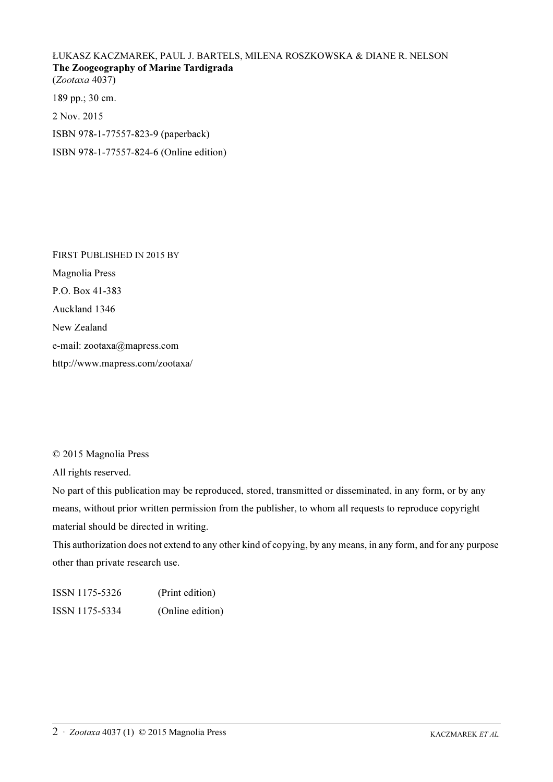## ŁUKASZ KACZMAREK, PAUL J. BARTELS, MILENA ROSZKOWSKA & DIANE R. NELSON The Zoogeography of Marine Tardigrada (Zootaxa 4037)

189 pp.; 30 cm.

2 Nov. 2015

ISBN 978-1-77557-823-9 (paperback)

ISBN 978-1-77557-824-6 (Online edition)

FIRST PUBLISHED IN 2015 BY Magnolia Press P.O. Box 41-383 Auckland 1346 New Zealand e-mail: zootaxa@mapress.com http://www.mapress.com/zootaxa/

© 2015 Magnolia Press

All rights reserved.

No part of this publication may be reproduced, stored, transmitted or disseminated, in any form, or by any means, without prior written permission from the publisher, to whom all requests to reproduce copyright material should be directed in writing.

This authorization does not extend to any other kind of copying, by any means, in any form, and for any purpose other than private research use.

ISSN 1175-5326 (Print edition) ISSN 1175-5334 (Online edition)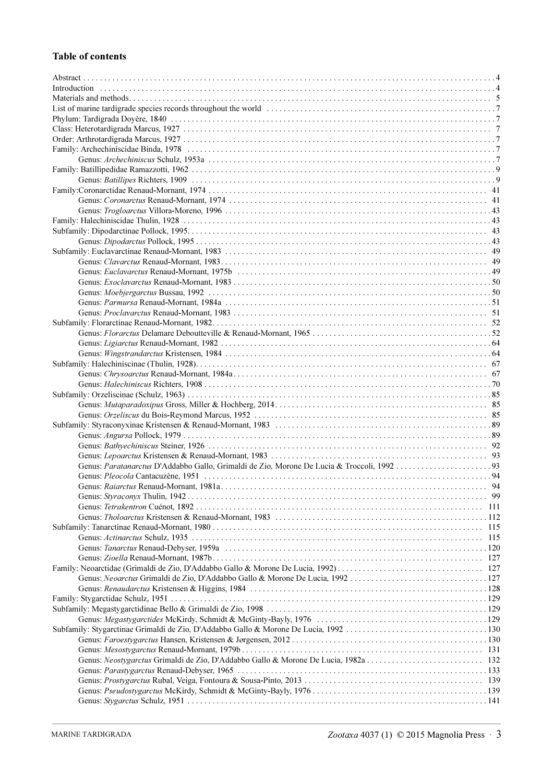# Table of contents

| 115 |
|-----|
|     |
|     |
|     |
|     |
|     |
|     |
|     |
|     |
|     |
|     |
|     |
|     |
|     |
|     |
|     |
|     |
|     |